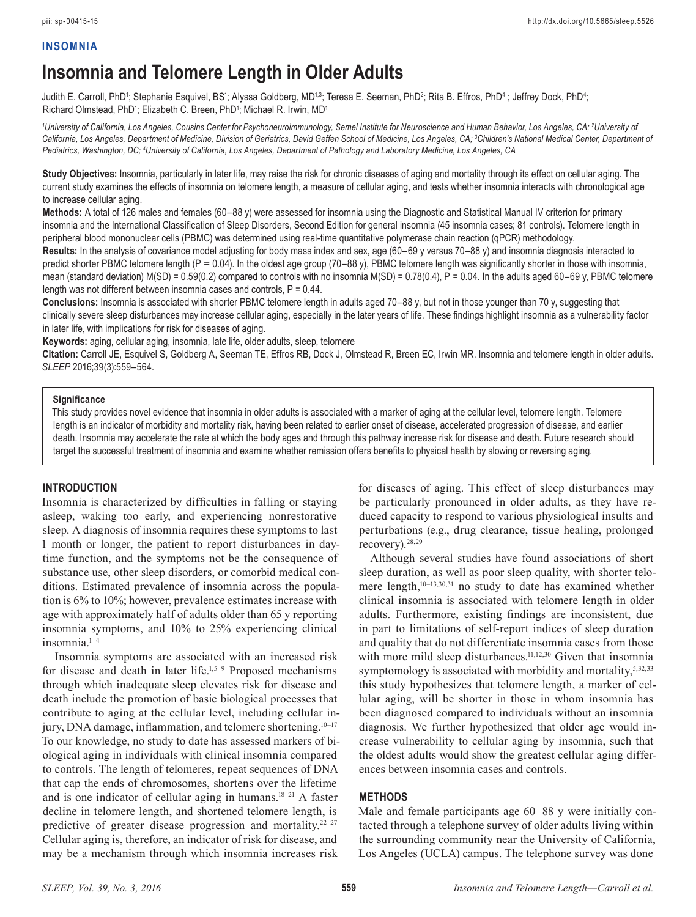## **INSOMNIA**

# **Insomnia and Telomere Length in Older Adults**

Judith E. Carroll, PhD<sup>1</sup>; Stephanie Esquivel, BS<sup>1</sup>; Alyssa Goldberg, MD<sup>1,3</sup>; Teresa E. Seeman, PhD<sup>2</sup>; Rita B. Effros, PhD<sup>4</sup> ; Jeffrey Dock, PhD<sup>4</sup>; Richard Olmstead, PhD<sup>1</sup>; Elizabeth C. Breen, PhD<sup>1</sup>; Michael R. Irwin, MD<sup>1</sup>

*1 University of California, Los Angeles, Cousins Center for Psychoneuroimmunology, Semel Institute for Neuroscience and Human Behavior, Los Angeles, CA; 2 University of California, Los Angeles, Department of Medicine, Division of Geriatrics, David Geffen School of Medicine, Los Angeles, CA; 3 Children's National Medical Center, Department of*  Pediatrics, Washington, DC; <sup>4</sup>University of California, Los Angeles, Department of Pathology and Laboratory Medicine, Los Angeles, CA

**Study Objectives:** Insomnia, particularly in later life, may raise the risk for chronic diseases of aging and mortality through its effect on cellular aging. The current study examines the effects of insomnia on telomere length, a measure of cellular aging, and tests whether insomnia interacts with chronological age to increase cellular aging.

**Methods:** A total of 126 males and females (60–88 y) were assessed for insomnia using the Diagnostic and Statistical Manual IV criterion for primary insomnia and the International Classification of Sleep Disorders, Second Edition for general insomnia (45 insomnia cases; 81 controls). Telomere length in peripheral blood mononuclear cells (PBMC) was determined using real-time quantitative polymerase chain reaction (qPCR) methodology.

**Results:** In the analysis of covariance model adjusting for body mass index and sex, age (60–69 y versus 70–88 y) and insomnia diagnosis interacted to predict shorter PBMC telomere length (P = 0.04). In the oldest age group (70–88 y), PBMC telomere length was significantly shorter in those with insomnia, mean (standard deviation) M(SD) =  $0.59(0.2)$  compared to controls with no insomnia M(SD) =  $0.78(0.4)$ , P = 0.04. In the adults aged 60–69 y, PBMC telomere length was not different between insomnia cases and controls,  $P = 0.44$ .

**Conclusions:** Insomnia is associated with shorter PBMC telomere length in adults aged 70–88 y, but not in those younger than 70 y, suggesting that clinically severe sleep disturbances may increase cellular aging, especially in the later years of life. These findings highlight insomnia as a vulnerability factor in later life, with implications for risk for diseases of aging.

**Keywords:** aging, cellular aging, insomnia, late life, older adults, sleep, telomere

**Citation:** Carroll JE, Esquivel S, Goldberg A, Seeman TE, Effros RB, Dock J, Olmstead R, Breen EC, Irwin MR. Insomnia and telomere length in older adults. *SLEEP* 2016;39(3):559–564.

#### **Significance**

This study provides novel evidence that insomnia in older adults is associated with a marker of aging at the cellular level, telomere length. Telomere length is an indicator of morbidity and mortality risk, having been related to earlier onset of disease, accelerated progression of disease, and earlier death. Insomnia may accelerate the rate at which the body ages and through this pathway increase risk for disease and death. Future research should target the successful treatment of insomnia and examine whether remission offers benefits to physical health by slowing or reversing aging.

## **INTRODUCTION**

Insomnia is characterized by difficulties in falling or staying asleep, waking too early, and experiencing nonrestorative sleep. A diagnosis of insomnia requires these symptoms to last 1 month or longer, the patient to report disturbances in daytime function, and the symptoms not be the consequence of substance use, other sleep disorders, or comorbid medical conditions. Estimated prevalence of insomnia across the population is 6% to 10%; however, prevalence estimates increase with age with approximately half of adults older than 65 y reporting insomnia symptoms, and 10% to 25% experiencing clinical insomnia.1–4

Insomnia symptoms are associated with an increased risk for disease and death in later life.1,5–9 Proposed mechanisms through which inadequate sleep elevates risk for disease and death include the promotion of basic biological processes that contribute to aging at the cellular level, including cellular injury, DNA damage, inflammation, and telomere shortening.10–17 To our knowledge, no study to date has assessed markers of biological aging in individuals with clinical insomnia compared to controls. The length of telomeres, repeat sequences of DNA that cap the ends of chromosomes, shortens over the lifetime and is one indicator of cellular aging in humans. $18-21$  A faster decline in telomere length, and shortened telomere length, is predictive of greater disease progression and mortality.<sup>22–27</sup> Cellular aging is, therefore, an indicator of risk for disease, and may be a mechanism through which insomnia increases risk

for diseases of aging. This effect of sleep disturbances may be particularly pronounced in older adults, as they have reduced capacity to respond to various physiological insults and perturbations (e.g., drug clearance, tissue healing, prolonged recovery).28,29

Although several studies have found associations of short sleep duration, as well as poor sleep quality, with shorter telomere length,<sup>10-13,30,31</sup> no study to date has examined whether clinical insomnia is associated with telomere length in older adults. Furthermore, existing findings are inconsistent, due in part to limitations of self-report indices of sleep duration and quality that do not differentiate insomnia cases from those with more mild sleep disturbances.<sup>11,12,30</sup> Given that insomnia symptomology is associated with morbidity and mortality, $5,32,33$ this study hypothesizes that telomere length, a marker of cellular aging, will be shorter in those in whom insomnia has been diagnosed compared to individuals without an insomnia diagnosis. We further hypothesized that older age would increase vulnerability to cellular aging by insomnia, such that the oldest adults would show the greatest cellular aging differences between insomnia cases and controls.

## **METHODS**

Male and female participants age 60–88 y were initially contacted through a telephone survey of older adults living within the surrounding community near the University of California, Los Angeles (UCLA) campus. The telephone survey was done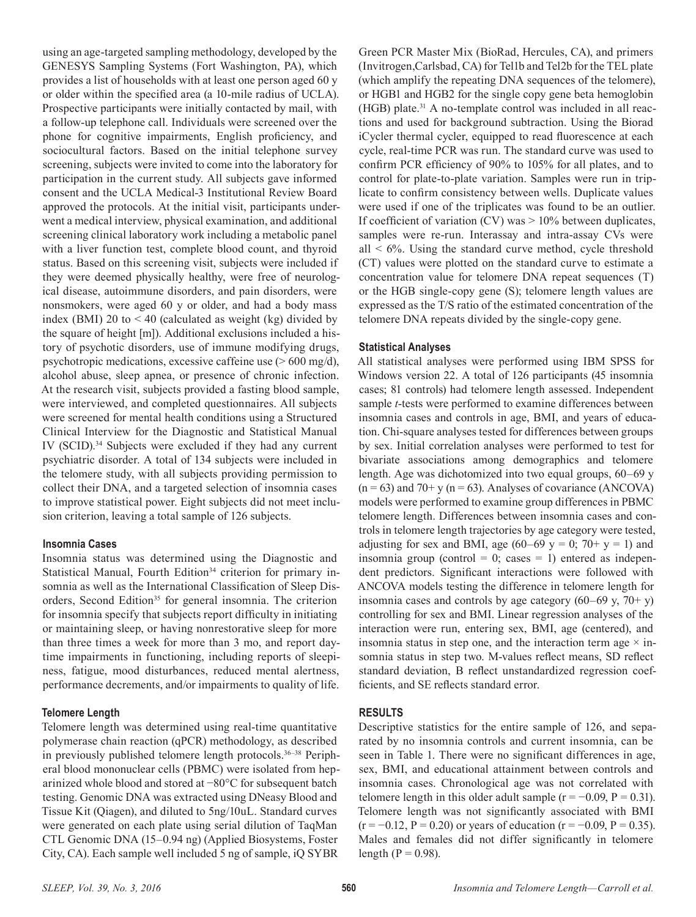using an age-targeted sampling methodology, developed by the GENESYS Sampling Systems (Fort Washington, PA), which provides a list of households with at least one person aged 60 y or older within the specified area (a 10-mile radius of UCLA). Prospective participants were initially contacted by mail, with a follow-up telephone call. Individuals were screened over the phone for cognitive impairments, English proficiency, and sociocultural factors. Based on the initial telephone survey screening, subjects were invited to come into the laboratory for participation in the current study. All subjects gave informed consent and the UCLA Medical-3 Institutional Review Board approved the protocols. At the initial visit, participants underwent a medical interview, physical examination, and additional screening clinical laboratory work including a metabolic panel with a liver function test, complete blood count, and thyroid status. Based on this screening visit, subjects were included if they were deemed physically healthy, were free of neurological disease, autoimmune disorders, and pain disorders, were nonsmokers, were aged 60 y or older, and had a body mass index (BMI) 20 to  $< 40$  (calculated as weight (kg) divided by the square of height [m]). Additional exclusions included a history of psychotic disorders, use of immune modifying drugs, psychotropic medications, excessive caffeine use (> 600 mg/d), alcohol abuse, sleep apnea, or presence of chronic infection. At the research visit, subjects provided a fasting blood sample, were interviewed, and completed questionnaires. All subjects were screened for mental health conditions using a Structured Clinical Interview for the Diagnostic and Statistical Manual IV (SCID).<sup>34</sup> Subjects were excluded if they had any current psychiatric disorder. A total of 134 subjects were included in the telomere study, with all subjects providing permission to collect their DNA, and a targeted selection of insomnia cases to improve statistical power. Eight subjects did not meet inclusion criterion, leaving a total sample of 126 subjects.

# **Insomnia Cases**

Insomnia status was determined using the Diagnostic and Statistical Manual, Fourth Edition<sup>34</sup> criterion for primary insomnia as well as the International Classification of Sleep Disorders, Second Edition<sup>35</sup> for general insomnia. The criterion for insomnia specify that subjects report difficulty in initiating or maintaining sleep, or having nonrestorative sleep for more than three times a week for more than 3 mo, and report daytime impairments in functioning, including reports of sleepiness, fatigue, mood disturbances, reduced mental alertness, performance decrements, and/or impairments to quality of life.

# **Telomere Length**

Telomere length was determined using real-time quantitative polymerase chain reaction (qPCR) methodology, as described in previously published telomere length protocols.<sup>36-38</sup> Peripheral blood mononuclear cells (PBMC) were isolated from heparinized whole blood and stored at −80°C for subsequent batch testing. Genomic DNA was extracted using DNeasy Blood and Tissue Kit (Qiagen), and diluted to 5ng/10uL. Standard curves were generated on each plate using serial dilution of TaqMan CTL Genomic DNA (15–0.94 ng) (Applied Biosystems, Foster City, CA). Each sample well included 5 ng of sample, iQ SYBR

Green PCR Master Mix (BioRad, Hercules, CA), and primers (Invitrogen,Carlsbad, CA) for Tel1b and Tel2b for the TEL plate (which amplify the repeating DNA sequences of the telomere), or HGB1 and HGB2 for the single copy gene beta hemoglobin  $(HGB)$  plate.<sup>31</sup> A no-template control was included in all reactions and used for background subtraction. Using the Biorad iCycler thermal cycler, equipped to read fluorescence at each cycle, real-time PCR was run. The standard curve was used to confirm PCR efficiency of 90% to 105% for all plates, and to control for plate-to-plate variation. Samples were run in triplicate to confirm consistency between wells. Duplicate values were used if one of the triplicates was found to be an outlier. If coefficient of variation  $(CV)$  was  $> 10\%$  between duplicates, samples were re-run. Interassay and intra-assay CVs were all  $\leq 6\%$ . Using the standard curve method, cycle threshold (CT) values were plotted on the standard curve to estimate a concentration value for telomere DNA repeat sequences (T) or the HGB single-copy gene (S); telomere length values are expressed as the T/S ratio of the estimated concentration of the telomere DNA repeats divided by the single-copy gene.

# **Statistical Analyses**

All statistical analyses were performed using IBM SPSS for Windows version 22. A total of 126 participants (45 insomnia cases; 81 controls) had telomere length assessed. Independent sample *t*-tests were performed to examine differences between insomnia cases and controls in age, BMI, and years of education. Chi-square analyses tested for differences between groups by sex. Initial correlation analyses were performed to test for bivariate associations among demographics and telomere length. Age was dichotomized into two equal groups, 60–69 y  $(n = 63)$  and 70+ y  $(n = 63)$ . Analyses of covariance (ANCOVA) models were performed to examine group differences in PBMC telomere length. Differences between insomnia cases and controls in telomere length trajectories by age category were tested, adjusting for sex and BMI, age  $(60-69 \text{ y} = 0; 70+\text{ y} = 1)$  and insomnia group (control = 0; cases = 1) entered as independent predictors. Significant interactions were followed with ANCOVA models testing the difference in telomere length for insomnia cases and controls by age category  $(60-69 \text{ y}, 70+\text{ y})$ controlling for sex and BMI. Linear regression analyses of the interaction were run, entering sex, BMI, age (centered), and insomnia status in step one, and the interaction term age  $\times$  insomnia status in step two. M-values reflect means, SD reflect standard deviation, B reflect unstandardized regression coefficients, and SE reflects standard error.

# **RESULTS**

Descriptive statistics for the entire sample of 126, and separated by no insomnia controls and current insomnia, can be seen in Table 1. There were no significant differences in age, sex, BMI, and educational attainment between controls and insomnia cases. Chronological age was not correlated with telomere length in this older adult sample ( $r = -0.09$ ,  $P = 0.31$ ). Telomere length was not significantly associated with BMI  $(r = -0.12, P = 0.20)$  or years of education  $(r = -0.09, P = 0.35)$ . Males and females did not differ significantly in telomere length ( $P = 0.98$ ).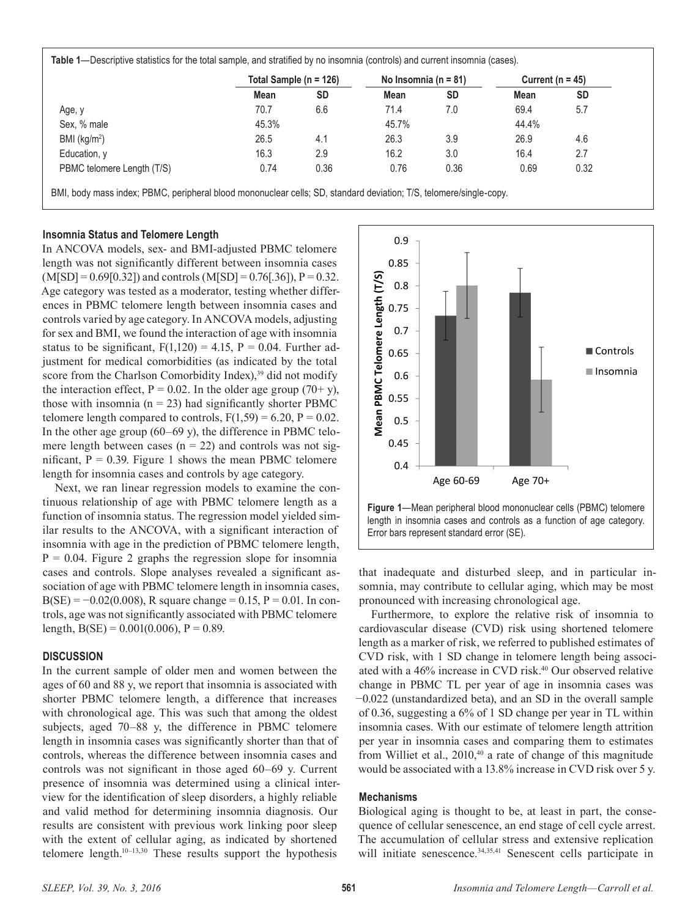| Table 1—Descriptive statistics for the total sample, and stratified by no insomnia (controls) and current insomnia (cases). |  |
|-----------------------------------------------------------------------------------------------------------------------------|--|
|-----------------------------------------------------------------------------------------------------------------------------|--|

|                            | Total Sample ( $n = 126$ ) |           | No Insomnia ( $n = 81$ ) |           | Current ( $n = 45$ ) |           |
|----------------------------|----------------------------|-----------|--------------------------|-----------|----------------------|-----------|
|                            | Mean                       | <b>SD</b> | Mean                     | <b>SD</b> | Mean                 | <b>SD</b> |
| Age, y                     | 70.7                       | 6.6       | 71.4                     | 7.0       | 69.4                 | 5.7       |
| Sex, % male                | 45.3%                      |           | 45.7%                    |           | 44.4%                |           |
| BMI ( $kg/m2$ )            | 26.5                       | 4.1       | 26.3                     | 3.9       | 26.9                 | 4.6       |
| Education, y               | 16.3                       | 2.9       | 16.2                     | 3.0       | 16.4                 | 2.7       |
| PBMC telomere Length (T/S) | 0.74                       | 0.36      | 0.76                     | 0.36      | 0.69                 | 0.32      |

BMI, body mass index; PBMC, peripheral blood mononuclear cells; SD, standard deviation; T/S, telomere/single-copy.

#### **Insomnia Status and Telomere Length**

In ANCOVA models, sex- and BMI-adjusted PBMC telomere length was not significantly different between insomnia cases  $(M[SD] = 0.69[0.32])$  and controls  $(M[SD] = 0.76[0.36])$ ,  $P = 0.32$ . Age category was tested as a moderator, testing whether differences in PBMC telomere length between insomnia cases and controls varied by age category. In ANCOVA models, adjusting for sex and BMI, we found the interaction of age with insomnia status to be significant,  $F(1,120) = 4.15$ ,  $P = 0.04$ . Further adjustment for medical comorbidities (as indicated by the total score from the Charlson Comorbidity Index),<sup>39</sup> did not modify the interaction effect,  $P = 0.02$ . In the older age group (70+ y), those with insomnia ( $n = 23$ ) had significantly shorter PBMC telomere length compared to controls,  $F(1,59) = 6.20$ ,  $P = 0.02$ . In the other age group (60–69 y), the difference in PBMC telomere length between cases ( $n = 22$ ) and controls was not significant,  $P = 0.39$ . Figure 1 shows the mean PBMC telomere length for insomnia cases and controls by age category.

Next, we ran linear regression models to examine the continuous relationship of age with PBMC telomere length as a function of insomnia status. The regression model yielded similar results to the ANCOVA, with a significant interaction of insomnia with age in the prediction of PBMC telomere length,  $P = 0.04$ . Figure 2 graphs the regression slope for insomnia cases and controls. Slope analyses revealed a significant association of age with PBMC telomere length in insomnia cases,  $B(SE) = -0.02(0.008)$ , R square change = 0.15, P = 0.01. In controls, age was not significantly associated with PBMC telomere length,  $B(SE) = 0.001(0.006)$ ,  $P = 0.89$ .

#### **DISCUSSION**

In the current sample of older men and women between the ages of 60 and 88 y, we report that insomnia is associated with shorter PBMC telomere length, a difference that increases with chronological age. This was such that among the oldest subjects, aged 70–88 y, the difference in PBMC telomere length in insomnia cases was significantly shorter than that of controls, whereas the difference between insomnia cases and controls was not significant in those aged 60–69 y. Current presence of insomnia was determined using a clinical interview for the identification of sleep disorders, a highly reliable and valid method for determining insomnia diagnosis. Our results are consistent with previous work linking poor sleep with the extent of cellular aging, as indicated by shortened telomere length.10–13,30 These results support the hypothesis



that inadequate and disturbed sleep, and in particular insomnia, may contribute to cellular aging, which may be most pronounced with increasing chronological age.

Furthermore, to explore the relative risk of insomnia to cardiovascular disease (CVD) risk using shortened telomere length as a marker of risk, we referred to published estimates of CVD risk, with 1 SD change in telomere length being associated with a 46% increase in CVD risk.<sup>40</sup> Our observed relative change in PBMC TL per year of age in insomnia cases was −0.022 (unstandardized beta), and an SD in the overall sample of 0.36, suggesting a 6% of 1 SD change per year in TL within insomnia cases. With our estimate of telomere length attrition per year in insomnia cases and comparing them to estimates from Williet et al., 2010,<sup>40</sup> a rate of change of this magnitude would be associated with a 13.8% increase in CVD risk over 5 y.

#### **Mechanisms**

Biological aging is thought to be, at least in part, the consequence of cellular senescence, an end stage of cell cycle arrest. The accumulation of cellular stress and extensive replication will initiate senescence.<sup>34,35,41</sup> Senescent cells participate in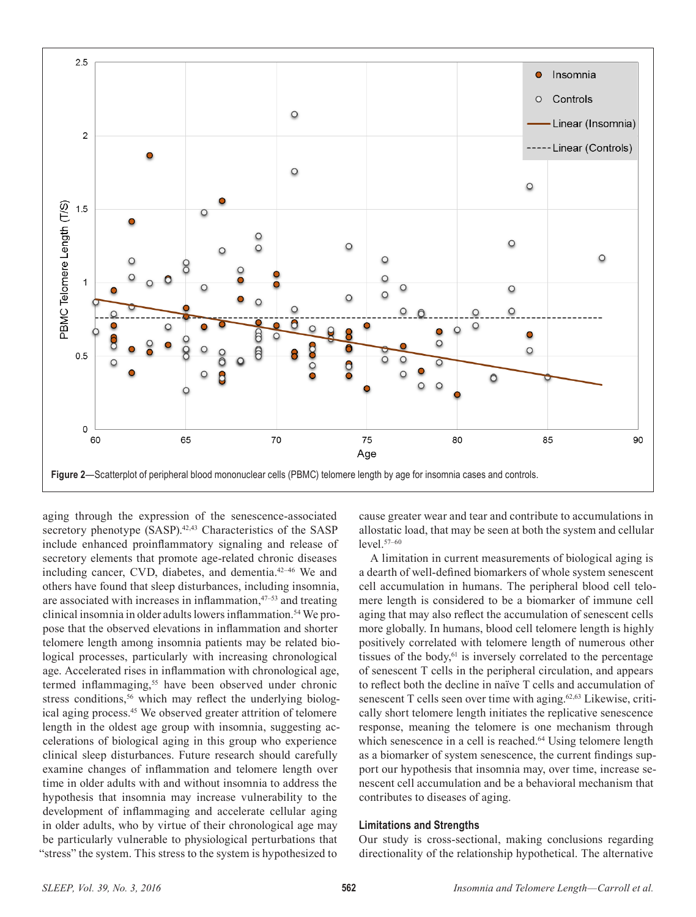

aging through the expression of the senescence-associated secretory phenotype (SASP).<sup>42,43</sup> Characteristics of the SASP include enhanced proinflammatory signaling and release of secretory elements that promote age-related chronic diseases including cancer, CVD, diabetes, and dementia.42–46 We and others have found that sleep disturbances, including insomnia, are associated with increases in inflammation, $47-53$  and treating clinical insomnia in older adults lowers inflammation.<sup>54</sup> We propose that the observed elevations in inflammation and shorter telomere length among insomnia patients may be related biological processes, particularly with increasing chronological age. Accelerated rises in inflammation with chronological age, termed inflammaging,<sup>55</sup> have been observed under chronic stress conditions,<sup>56</sup> which may reflect the underlying biological aging process.45 We observed greater attrition of telomere length in the oldest age group with insomnia, suggesting accelerations of biological aging in this group who experience clinical sleep disturbances. Future research should carefully examine changes of inflammation and telomere length over time in older adults with and without insomnia to address the hypothesis that insomnia may increase vulnerability to the development of inflammaging and accelerate cellular aging in older adults, who by virtue of their chronological age may be particularly vulnerable to physiological perturbations that "stress" the system. This stress to the system is hypothesized to

cause greater wear and tear and contribute to accumulations in allostatic load, that may be seen at both the system and cellular level.57–60

A limitation in current measurements of biological aging is a dearth of well-defined biomarkers of whole system senescent cell accumulation in humans. The peripheral blood cell telomere length is considered to be a biomarker of immune cell aging that may also reflect the accumulation of senescent cells more globally. In humans, blood cell telomere length is highly positively correlated with telomere length of numerous other tissues of the body, $61$  is inversely correlated to the percentage of senescent T cells in the peripheral circulation, and appears to reflect both the decline in naïve T cells and accumulation of senescent T cells seen over time with aging.<sup>62,63</sup> Likewise, critically short telomere length initiates the replicative senescence response, meaning the telomere is one mechanism through which senescence in a cell is reached.<sup>64</sup> Using telomere length as a biomarker of system senescence, the current findings support our hypothesis that insomnia may, over time, increase senescent cell accumulation and be a behavioral mechanism that contributes to diseases of aging.

#### **Limitations and Strengths**

Our study is cross-sectional, making conclusions regarding directionality of the relationship hypothetical. The alternative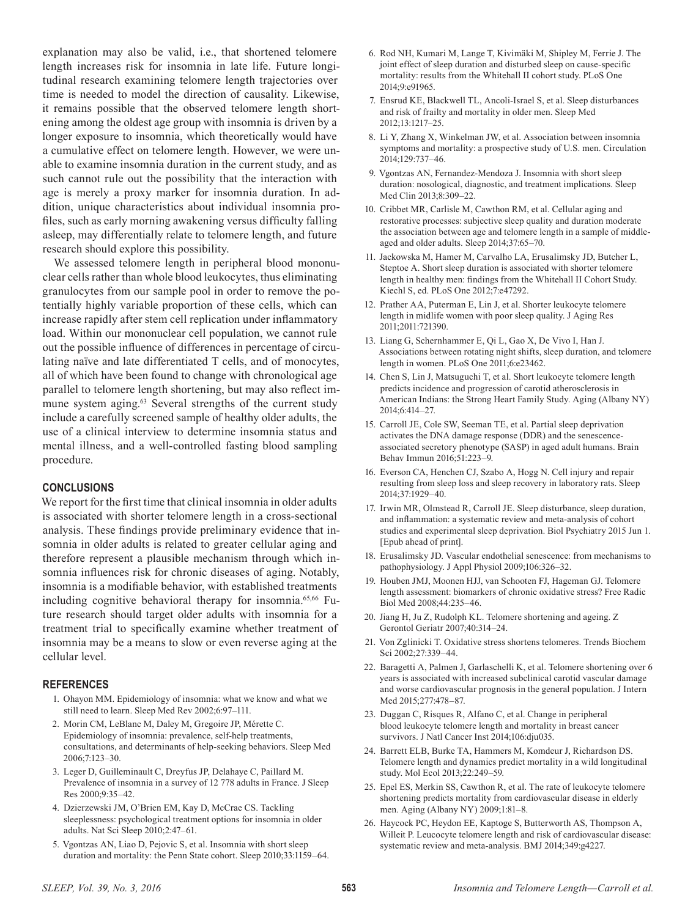explanation may also be valid, i.e., that shortened telomere length increases risk for insomnia in late life. Future longitudinal research examining telomere length trajectories over time is needed to model the direction of causality. Likewise, it remains possible that the observed telomere length shortening among the oldest age group with insomnia is driven by a longer exposure to insomnia, which theoretically would have a cumulative effect on telomere length. However, we were unable to examine insomnia duration in the current study, and as such cannot rule out the possibility that the interaction with age is merely a proxy marker for insomnia duration. In addition, unique characteristics about individual insomnia profiles, such as early morning awakening versus difficulty falling asleep, may differentially relate to telomere length, and future research should explore this possibility.

We assessed telomere length in peripheral blood mononuclear cells rather than whole blood leukocytes, thus eliminating granulocytes from our sample pool in order to remove the potentially highly variable proportion of these cells, which can increase rapidly after stem cell replication under inflammatory load. Within our mononuclear cell population, we cannot rule out the possible influence of differences in percentage of circulating naïve and late differentiated T cells, and of monocytes, all of which have been found to change with chronological age parallel to telomere length shortening, but may also reflect immune system aging.<sup>63</sup> Several strengths of the current study include a carefully screened sample of healthy older adults, the use of a clinical interview to determine insomnia status and mental illness, and a well-controlled fasting blood sampling procedure.

#### **CONCLUSIONS**

We report for the first time that clinical insomnia in older adults is associated with shorter telomere length in a cross-sectional analysis. These findings provide preliminary evidence that insomnia in older adults is related to greater cellular aging and therefore represent a plausible mechanism through which insomnia influences risk for chronic diseases of aging. Notably, insomnia is a modifiable behavior, with established treatments including cognitive behavioral therapy for insomnia.<sup>65,66</sup> Future research should target older adults with insomnia for a treatment trial to specifically examine whether treatment of insomnia may be a means to slow or even reverse aging at the cellular level.

#### **REFERENCES**

- 1. Ohayon MM. Epidemiology of insomnia: what we know and what we still need to learn. Sleep Med Rev 2002;6:97–111.
- 2. Morin CM, LeBlanc M, Daley M, Gregoire JP, Mérette C. Epidemiology of insomnia: prevalence, self-help treatments, consultations, and determinants of help-seeking behaviors. Sleep Med 2006;7:123–30.
- 3. Leger D, Guilleminault C, Dreyfus JP, Delahaye C, Paillard M. Prevalence of insomnia in a survey of 12 778 adults in France. J Sleep Res 2000;9:35–42.
- 4. Dzierzewski JM, O'Brien EM, Kay D, McCrae CS. Tackling sleeplessness: psychological treatment options for insomnia in older adults. Nat Sci Sleep 2010;2:47–61.
- 5. Vgontzas AN, Liao D, Pejovic S, et al. Insomnia with short sleep duration and mortality: the Penn State cohort. Sleep 2010;33:1159–64.
- 6. Rod NH, Kumari M, Lange T, Kivimäki M, Shipley M, Ferrie J. The joint effect of sleep duration and disturbed sleep on cause-specific mortality: results from the Whitehall II cohort study. PLoS One 2014;9:e91965.
- 7. Ensrud KE, Blackwell TL, Ancoli-Israel S, et al. Sleep disturbances and risk of frailty and mortality in older men. Sleep Med 2012;13:1217–25.
- 8. Li Y, Zhang X, Winkelman JW, et al. Association between insomnia symptoms and mortality: a prospective study of U.S. men. Circulation 2014;129:737–46.
- 9. Vgontzas AN, Fernandez-Mendoza J. Insomnia with short sleep duration: nosological, diagnostic, and treatment implications. Sleep Med Clin 2013;8:309–22.
- 10. Cribbet MR, Carlisle M, Cawthon RM, et al. Cellular aging and restorative processes: subjective sleep quality and duration moderate the association between age and telomere length in a sample of middleaged and older adults. Sleep 2014;37:65–70.
- 11. Jackowska M, Hamer M, Carvalho LA, Erusalimsky JD, Butcher L, Steptoe A. Short sleep duration is associated with shorter telomere length in healthy men: findings from the Whitehall II Cohort Study. Kiechl S, ed. PLoS One 2012;7:e47292.
- 12. Prather AA, Puterman E, Lin J, et al. Shorter leukocyte telomere length in midlife women with poor sleep quality. J Aging Res 2011;2011:721390.
- 13. Liang G, Schernhammer E, Qi L, Gao X, De Vivo I, Han J. Associations between rotating night shifts, sleep duration, and telomere length in women. PLoS One 2011;6:e23462.
- 14. Chen S, Lin J, Matsuguchi T, et al. Short leukocyte telomere length predicts incidence and progression of carotid atherosclerosis in American Indians: the Strong Heart Family Study. Aging (Albany NY) 2014;6:414–27.
- 15. Carroll JE, Cole SW, Seeman TE, et al. Partial sleep deprivation activates the DNA damage response (DDR) and the senescenceassociated secretory phenotype (SASP) in aged adult humans. Brain Behav Immun 2016;51:223–9.
- 16. Everson CA, Henchen CJ, Szabo A, Hogg N. Cell injury and repair resulting from sleep loss and sleep recovery in laboratory rats. Sleep 2014;37:1929–40.
- 17. Irwin MR, Olmstead R, Carroll JE. Sleep disturbance, sleep duration, and inflammation: a systematic review and meta-analysis of cohort studies and experimental sleep deprivation. Biol Psychiatry 2015 Jun 1. [Epub ahead of print].
- 18. Erusalimsky JD. Vascular endothelial senescence: from mechanisms to pathophysiology. J Appl Physiol 2009;106:326–32.
- 19. Houben JMJ, Moonen HJJ, van Schooten FJ, Hageman GJ. Telomere length assessment: biomarkers of chronic oxidative stress? Free Radic Biol Med 2008;44:235–46.
- 20. Jiang H, Ju Z, Rudolph KL. Telomere shortening and ageing. Z Gerontol Geriatr 2007;40:314–24.
- 21. Von Zglinicki T. Oxidative stress shortens telomeres. Trends Biochem Sci 2002;27:339–44.
- 22. Baragetti A, Palmen J, Garlaschelli K, et al. Telomere shortening over 6 years is associated with increased subclinical carotid vascular damage and worse cardiovascular prognosis in the general population. J Intern Med 2015;277:478–87.
- 23. Duggan C, Risques R, Alfano C, et al. Change in peripheral blood leukocyte telomere length and mortality in breast cancer survivors. J Natl Cancer Inst 2014;106:dju035.
- 24. Barrett ELB, Burke TA, Hammers M, Komdeur J, Richardson DS. Telomere length and dynamics predict mortality in a wild longitudinal study. Mol Ecol 2013;22:249–59.
- 25. Epel ES, Merkin SS, Cawthon R, et al. The rate of leukocyte telomere shortening predicts mortality from cardiovascular disease in elderly men. Aging (Albany NY) 2009;1:81–8.
- 26. Haycock PC, Heydon EE, Kaptoge S, Butterworth AS, Thompson A, Willeit P. Leucocyte telomere length and risk of cardiovascular disease: systematic review and meta-analysis. BMJ 2014;349:g4227.